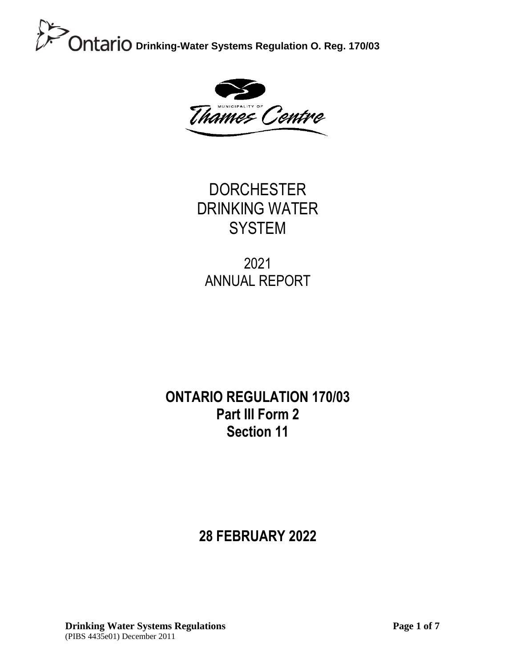

**DORCHESTER** DRINKING WATER **SYSTEM** 

2021 ANNUAL REPORT

### **ONTARIO REGULATION 170/03 Part III Form 2 Section 11**

### **28 FEBRUARY 2022**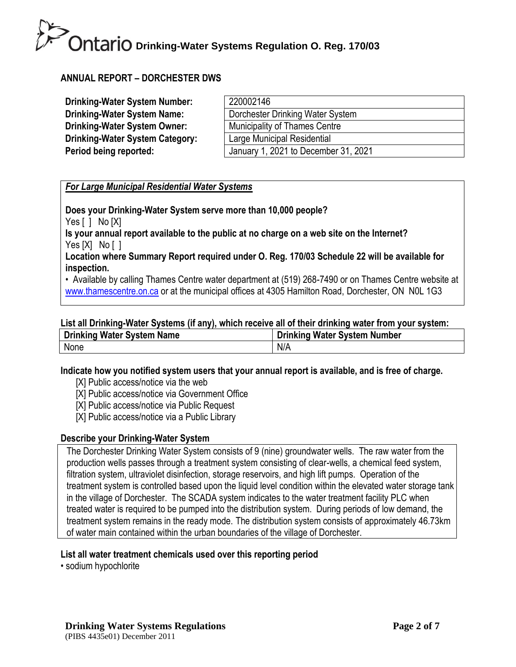#### **ANNUAL REPORT – DORCHESTER DWS**

| <b>Drinking-Water System Number:</b>   | 220002146                            |
|----------------------------------------|--------------------------------------|
| <b>Drinking-Water System Name:</b>     | Dorchester Drinking Water System     |
| <b>Drinking-Water System Owner:</b>    | <b>Municipality of Thames Centre</b> |
| <b>Drinking-Water System Category:</b> | Large Municipal Residential          |
| Period being reported:                 | January 1, 2021 to December 31, 2021 |

#### *For Large Municipal Residential Water Systems*

**Does your Drinking-Water System serve more than 10,000 people?** Yes [ ] No [X] **Is your annual report available to the public at no charge on a web site on the Internet?**  Yes [X] No [ ] **Location where Summary Report required under O. Reg. 170/03 Schedule 22 will be available for** 

**inspection.** 

• Available by calling Thames Centre water department at (519) 268-7490 or on Thames Centre website at [www.thamescentre.on.ca](http://www.thamescentre.on.ca/) or at the municipal offices at 4305 Hamilton Road, Dorchester, ON N0L 1G3

#### **List all Drinking-Water Systems (if any), which receive all of their drinking water from your system:**

| <b>Drinking Water System Name</b> | <b>Drinking Water System Number</b> |
|-----------------------------------|-------------------------------------|
| None                              | N/A                                 |

#### **Indicate how you notified system users that your annual report is available, and is free of charge.**

- [X] Public access/notice via the web
- [X] Public access/notice via Government Office
- [X] Public access/notice via Public Request
- [X] Public access/notice via a Public Library

#### **Describe your Drinking-Water System**

The Dorchester Drinking Water System consists of 9 (nine) groundwater wells. The raw water from the production wells passes through a treatment system consisting of clear-wells, a chemical feed system, filtration system, ultraviolet disinfection, storage reservoirs, and high lift pumps. Operation of the treatment system is controlled based upon the liquid level condition within the elevated water storage tank in the village of Dorchester. The SCADA system indicates to the water treatment facility PLC when treated water is required to be pumped into the distribution system. During periods of low demand, the treatment system remains in the ready mode. The distribution system consists of approximately 46.73km of water main contained within the urban boundaries of the village of Dorchester.

#### **List all water treatment chemicals used over this reporting period**

• sodium hypochlorite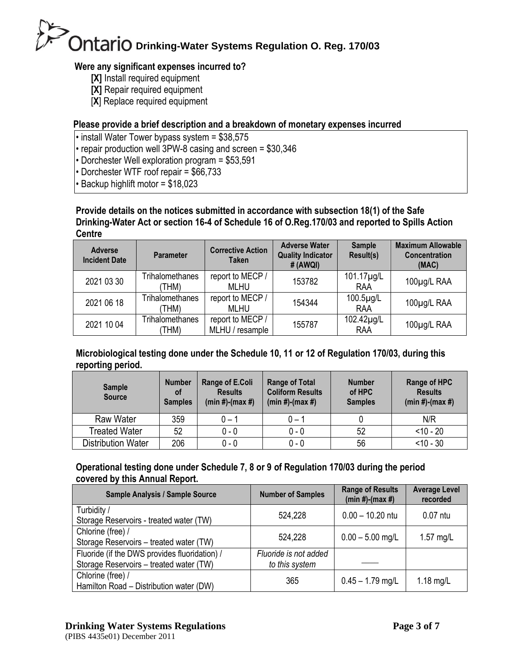#### **Were any significant expenses incurred to?**

- **[X]** Install required equipment
- **[X]** Repair required equipment
- [**X**] Replace required equipment

#### **Please provide a brief description and a breakdown of monetary expenses incurred**

- install Water Tower bypass system = \$38,575
- repair production well 3PW-8 casing and screen = \$30,346
- Dorchester Well exploration program = \$53,591
- Dorchester WTF roof repair = \$66,733
- Backup highlift motor = \$18,023

#### **Provide details on the notices submitted in accordance with subsection 18(1) of the Safe Drinking-Water Act or section 16-4 of Schedule 16 of O.Reg.170/03 and reported to Spills Action Centre**

| <b>Adverse</b><br><b>Incident Date</b> | Parameter                       | <b>Corrective Action</b><br><b>Taken</b> | <b>Adverse Water</b><br><b>Quality Indicator</b><br>#(AWQI) | <b>Sample</b><br>Result(s) | <b>Maximum Allowable</b><br>Concentration<br>(MAC) |
|----------------------------------------|---------------------------------|------------------------------------------|-------------------------------------------------------------|----------------------------|----------------------------------------------------|
| 2021 03 30                             | <b>Trihalomethanes</b><br>(THM) | report to MECP /<br><b>MLHU</b>          | 153782                                                      | 101.17µg/L<br>RAA          | 100µg/L RAA                                        |
| 2021 06 18                             | <b>Trihalomethanes</b><br>(THM) | report to MECP /<br><b>MLHU</b>          | 154344                                                      | 100.5µg/L<br><b>RAA</b>    | 100µg/L RAA                                        |
| 2021 10 04                             | <b>Trihalomethanes</b><br>THM)  | report to MECP /<br>MLHU / resample      | 155787                                                      | 102.42µg/L<br><b>RAA</b>   | 100µg/L RAA                                        |

#### **Microbiological testing done under the Schedule 10, 11 or 12 of Regulation 170/03, during this reporting period.**

| <b>Sample</b><br><b>Source</b> | <b>Number</b><br><b>of</b><br><b>Samples</b> | Range of E.Coli<br><b>Results</b><br>$(min #)-(max #)$ | <b>Range of Total</b><br><b>Coliform Results</b><br>$(min #)-(max #)$ | <b>Number</b><br>of HPC<br><b>Samples</b> | Range of HPC<br><b>Results</b><br>$(min #)-(max #)$ |
|--------------------------------|----------------------------------------------|--------------------------------------------------------|-----------------------------------------------------------------------|-------------------------------------------|-----------------------------------------------------|
| Raw Water                      | 359                                          | ი – 1                                                  | $0 - 1$                                                               |                                           | N/R                                                 |
| Treated Water                  | 52                                           | 0 - 0                                                  | $0 - 0$                                                               | 52                                        | $< 10 - 20$                                         |
| <b>Distribution Water</b>      | 206                                          | 0 - 0                                                  | $0 - 0$                                                               | 56                                        | $< 10 - 30$                                         |

#### **Operational testing done under Schedule 7, 8 or 9 of Regulation 170/03 during the period covered by this Annual Report.**

| Sample Analysis / Sample Source                                                          | <b>Number of Samples</b>                | <b>Range of Results</b><br>$(min #)-(max #)$ | <b>Average Level</b><br>recorded |
|------------------------------------------------------------------------------------------|-----------------------------------------|----------------------------------------------|----------------------------------|
| Turbidity /<br>Storage Reservoirs - treated water (TW)                                   | 524,228                                 | $0.00 - 10.20$ ntu                           | $0.07$ ntu                       |
| Chlorine (free) /<br>Storage Reservoirs - treated water (TW)                             | 524,228                                 | $0.00 - 5.00$ mg/L                           | 1.57 $mg/L$                      |
| Fluoride (if the DWS provides fluoridation) /<br>Storage Reservoirs - treated water (TW) | Fluoride is not added<br>to this system |                                              |                                  |
| Chlorine (free) /<br>Hamilton Road - Distribution water (DW)                             | 365                                     | $0.45 - 1.79$ mg/L                           | $1.18$ mg/L                      |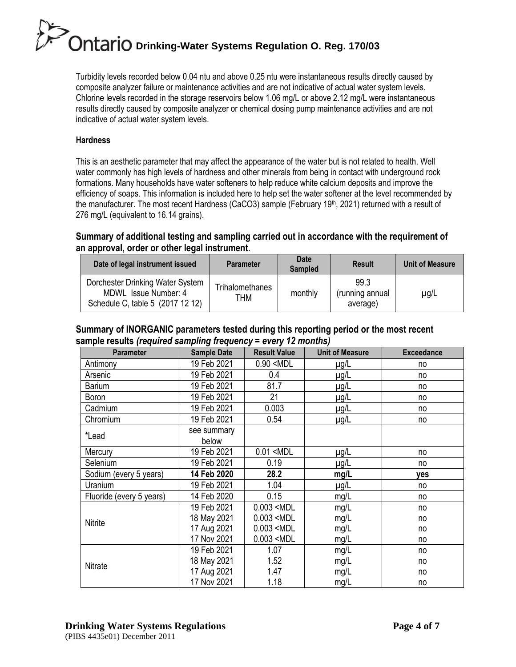Turbidity levels recorded below 0.04 ntu and above 0.25 ntu were instantaneous results directly caused by composite analyzer failure or maintenance activities and are not indicative of actual water system levels. Chlorine levels recorded in the storage reservoirs below 1.06 mg/L or above 2.12 mg/L were instantaneous results directly caused by composite analyzer or chemical dosing pump maintenance activities and are not indicative of actual water system levels.

#### **Hardness**

This is an aesthetic parameter that may affect the appearance of the water but is not related to health. Well water commonly has high levels of hardness and other minerals from being in contact with underground rock formations. Many households have water softeners to help reduce white calcium deposits and improve the efficiency of soaps. This information is included here to help set the water softener at the level recommended by the manufacturer. The most recent Hardness (CaCO3) sample (February 19<sup>th</sup>, 2021) returned with a result of 276 mg/L (equivalent to 16.14 grains).

#### **Summary of additional testing and sampling carried out in accordance with the requirement of an approval, order or other legal instrument**.

| Date of legal instrument issued                                                              | <b>Parameter</b>       | Date<br><b>Sampled</b> | <b>Result</b>                       | <b>Unit of Measure</b> |
|----------------------------------------------------------------------------------------------|------------------------|------------------------|-------------------------------------|------------------------|
| Dorchester Drinking Water System<br>MDWL Issue Number: 4<br>Schedule C, table 5 (2017 12 12) | Trihalomethanes<br>THM | monthly                | 99.3<br>(running annual<br>average) | $\mu$ g/L              |

#### **Summary of INORGANIC parameters tested during this reporting period or the most recent sample results** *(required sampling frequency = every 12 months)*

| <b>Parameter</b>         | <b>Sample Date</b>   | <b>Result Value</b>                                               | <b>Unit of Measure</b> | <b>Exceedance</b> |
|--------------------------|----------------------|-------------------------------------------------------------------|------------------------|-------------------|
| Antimony                 | 19 Feb 2021          | $0.90$ <mdl< td=""><td><math>\mu</math>g/L</td><td>no</td></mdl<> | $\mu$ g/L              | no                |
| Arsenic                  | 19 Feb 2021          | 0.4                                                               | $\mu$ g/L              | no                |
| <b>Barium</b>            | 19 Feb 2021          | 81.7                                                              | µg/L                   | no                |
| Boron                    | 19 Feb 2021          | 21                                                                | $\mu$ g/L              | no                |
| Cadmium                  | 19 Feb 2021          | 0.003                                                             | $\mu$ g/L              | no                |
| Chromium                 | 19 Feb 2021          | 0.54                                                              | $\mu$ g/L              | no                |
| *Lead                    | see summary<br>below |                                                                   |                        |                   |
| Mercury                  | 19 Feb 2021          | $0.01$ <mdl< td=""><td><math>\mu</math>g/L</td><td>no</td></mdl<> | $\mu$ g/L              | no                |
| Selenium                 | 19 Feb 2021          | 0.19                                                              | $\mu$ g/L              | no                |
| Sodium (every 5 years)   | 14 Feb 2020          | 28.2                                                              | mg/L                   | yes               |
| Uranium                  | 19 Feb 2021          | 1.04                                                              | $\mu$ g/L              | no                |
| Fluoride (every 5 years) | 14 Feb 2020          | 0.15                                                              | mg/L                   | no                |
|                          | 19 Feb 2021          | $0.003$ <mdl< td=""><td>mg/L</td><td>no</td></mdl<>               | mg/L                   | no                |
| Nitrite                  | 18 May 2021          | $0.003$ <mdl< td=""><td>mg/L</td><td>no</td></mdl<>               | mg/L                   | no                |
|                          | 17 Aug 2021          | $0.003$ <mdl< td=""><td>mg/L</td><td>no</td></mdl<>               | mg/L                   | no                |
|                          | 17 Nov 2021          | $0.003$ <mdl< td=""><td>mg/L</td><td>no</td></mdl<>               | mg/L                   | no                |
|                          | 19 Feb 2021          | 1.07                                                              | mg/L                   | no                |
| Nitrate                  | 18 May 2021          | 1.52                                                              | mg/L                   | no                |
|                          | 17 Aug 2021          | 1.47                                                              | mg/L                   | no                |
|                          | 17 Nov 2021          | 1.18                                                              | mg/L                   | no                |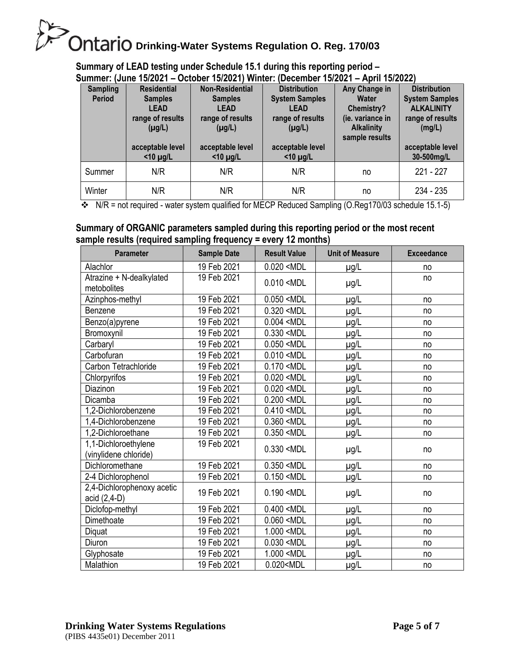**Summary of LEAD testing under Schedule 15.1 during this reporting period – Summer: (June 15/2021 – October 15/2021) Winter: (December 15/2021 – April 15/2022)**

| ,,,,,,,,,,,<br>IVWIIV IVILVLI<br>.<br>/\WIII IV/LVLL |                    |                        |                       |                   |                       |
|------------------------------------------------------|--------------------|------------------------|-----------------------|-------------------|-----------------------|
| <b>Sampling</b>                                      | <b>Residential</b> | <b>Non-Residential</b> | <b>Distribution</b>   | Any Change in     | <b>Distribution</b>   |
| <b>Period</b>                                        | <b>Samples</b>     | <b>Samples</b>         | <b>System Samples</b> | Water             | <b>System Samples</b> |
|                                                      | <b>LEAD</b>        | LEAD                   | <b>LEAD</b>           | Chemistry?        | <b>ALKALINITY</b>     |
|                                                      | range of results   | range of results       | range of results      | (ie. variance in  | range of results      |
|                                                      | $(\mu g/L)$        | $(\mu g/L)$            | $(\mu g/L)$           | <b>Alkalinity</b> | (mg/L)                |
|                                                      |                    |                        |                       | sample results    |                       |
|                                                      |                    |                        |                       |                   |                       |
|                                                      | acceptable level   | acceptable level       | acceptable level      |                   | acceptable level      |
|                                                      | $<$ 10 µg/L        | $<$ 10 µg/L            | $<$ 10 µg/L           |                   | 30-500mg/L            |
|                                                      |                    |                        |                       |                   |                       |
| Summer                                               | N/R                | N/R                    | N/R                   | no                | $221 - 227$           |
| Winter                                               | N/R                | N/R                    | N/R                   | no                | 234 - 235             |

 $\bullet\bullet\quad$  N/R = not required - water system qualified for MECP Reduced Sampling (O.Reg170/03 schedule 15.1-5)

#### **Summary of ORGANIC parameters sampled during this reporting period or the most recent sample results (required sampling frequency = every 12 months)**

| <b>Parameter</b>                              | <b>Sample Date</b> | <b>Result Value</b>                                                | <b>Unit of Measure</b> | <b>Exceedance</b> |
|-----------------------------------------------|--------------------|--------------------------------------------------------------------|------------------------|-------------------|
| Alachlor                                      | 19 Feb 2021        | $0.020$ <mdl< td=""><td><math>\mu</math>g/L</td><td>no</td></mdl<> | $\mu$ g/L              | no                |
| Atrazine + N-dealkylated<br>metobolites       | 19 Feb 2021        | $0.010$ <mdl< td=""><td><math>\mu</math>g/L</td><td>no</td></mdl<> | $\mu$ g/L              | no                |
| Azinphos-methyl                               | 19 Feb 2021        | $0.050$ <mdl< td=""><td><math>\mu</math>g/L</td><td>no</td></mdl<> | $\mu$ g/L              | no                |
| Benzene                                       | 19 Feb 2021        | $0.320$ <mdl< td=""><td><math>\mu</math>g/L</td><td>no</td></mdl<> | $\mu$ g/L              | no                |
| Benzo(a)pyrene                                | 19 Feb 2021        | $0.004$ <mdl< td=""><td>µg/L</td><td>no</td></mdl<>                | µg/L                   | no                |
| Bromoxynil                                    | 19 Feb 2021        | $0.330$ <mdl< td=""><td><math>\mu</math>g/L</td><td>no</td></mdl<> | $\mu$ g/L              | no                |
| Carbaryl                                      | 19 Feb 2021        | $0.050$ <mdl< td=""><td>µg/L</td><td>no</td></mdl<>                | µg/L                   | no                |
| Carbofuran                                    | 19 Feb 2021        | $0.010$ <mdl< td=""><td><math>\mu</math>g/L</td><td>no</td></mdl<> | $\mu$ g/L              | no                |
| Carbon Tetrachloride                          | 19 Feb 2021        | $0.170$ <mdl< td=""><td>µg/L</td><td>no</td></mdl<>                | µg/L                   | no                |
| Chlorpyrifos                                  | 19 Feb 2021        | $0.020$ <mdl< td=""><td><math>\mu</math>g/L</td><td>no</td></mdl<> | $\mu$ g/L              | no                |
| Diazinon                                      | 19 Feb 2021        | $0.020$ <mdl< td=""><td><math>\mu</math>g/L</td><td>no</td></mdl<> | $\mu$ g/L              | no                |
| Dicamba                                       | 19 Feb 2021        | $0.200$ <mdl< td=""><td>µg/L</td><td>no</td></mdl<>                | µg/L                   | no                |
| 1,2-Dichlorobenzene                           | 19 Feb 2021        | $0.410$ <mdl< td=""><td>µg/L</td><td>no</td></mdl<>                | µg/L                   | no                |
| 1,4-Dichlorobenzene                           | 19 Feb 2021        | $0.360$ <mdl< td=""><td>µg/L</td><td>no</td></mdl<>                | µg/L                   | no                |
| 1,2-Dichloroethane                            | 19 Feb 2021        | $0.350$ <mdl< td=""><td><math>\mu</math>g/L</td><td>no</td></mdl<> | $\mu$ g/L              | no                |
| 1,1-Dichloroethylene<br>(vinylidene chloride) | 19 Feb 2021        | $0.330$ <mdl< td=""><td><math>\mu</math>g/L</td><td>no</td></mdl<> | $\mu$ g/L              | no                |
| Dichloromethane                               | 19 Feb 2021        | $0.350$ <mdl< td=""><td><math>\mu</math>g/L</td><td>no</td></mdl<> | $\mu$ g/L              | no                |
| 2-4 Dichlorophenol                            | 19 Feb 2021        | $0.150$ <mdl< td=""><td><math>\mu</math>g/L</td><td>no</td></mdl<> | $\mu$ g/L              | no                |
| 2,4-Dichlorophenoxy acetic<br>acid (2,4-D)    | 19 Feb 2021        | $0.190$ <mdl< td=""><td><math>\mu</math>g/L</td><td>no</td></mdl<> | $\mu$ g/L              | no                |
| Diclofop-methyl                               | 19 Feb 2021        | $0.400$ <mdl< td=""><td><math>\mu</math>g/L</td><td>no</td></mdl<> | $\mu$ g/L              | no                |
| Dimethoate                                    | 19 Feb 2021        | $0.060$ <mdl< td=""><td>µg/L</td><td>no</td></mdl<>                | µg/L                   | no                |
| Diquat                                        | 19 Feb 2021        | 1.000 <mdl< td=""><td>µg/L</td><td>no</td></mdl<>                  | µg/L                   | no                |
| Diuron                                        | 19 Feb 2021        | $0.030$ <mdl< td=""><td>µg/L</td><td>no</td></mdl<>                | µg/L                   | no                |
| Glyphosate                                    | 19 Feb 2021        | 1.000 <mdl< td=""><td><math>\mu</math>g/L</td><td>no</td></mdl<>   | $\mu$ g/L              | no                |
| Malathion                                     | 19 Feb 2021        | 0.020 <mdl< td=""><td><math>\mu</math>g/L</td><td>no</td></mdl<>   | $\mu$ g/L              | no                |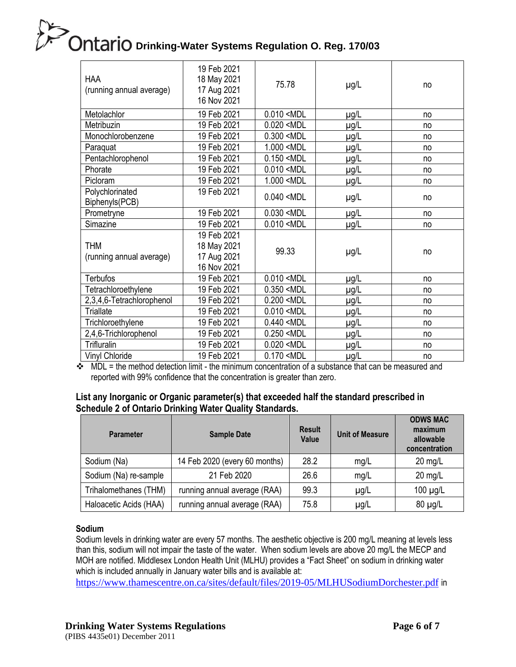| <b>HAA</b><br>(running annual average) | 19 Feb 2021<br>18 May 2021<br>17 Aug 2021<br>16 Nov 2021 | 75.78                                                              | $\mu$ g/L | no |
|----------------------------------------|----------------------------------------------------------|--------------------------------------------------------------------|-----------|----|
| Metolachlor                            | 19 Feb 2021                                              | $0.010$ <mdl< td=""><td><math>\mu</math>g/L</td><td>no</td></mdl<> | $\mu$ g/L | no |
| Metribuzin                             | 19 Feb 2021                                              | $0.020$ <mdl< td=""><td><math>\mu</math>g/L</td><td>no</td></mdl<> | $\mu$ g/L | no |
| Monochlorobenzene                      | 19 Feb 2021                                              | $0.300$ <mdl< td=""><td><math>\mu</math>g/L</td><td>no</td></mdl<> | $\mu$ g/L | no |
| Paraquat                               | 19 Feb 2021                                              | 1.000 <mdl< td=""><td>µg/L</td><td>no</td></mdl<>                  | µg/L      | no |
| Pentachlorophenol                      | 19 Feb 2021                                              | $0.150$ <mdl< td=""><td><math>\mu</math>g/L</td><td>no</td></mdl<> | $\mu$ g/L | no |
| Phorate                                | 19 Feb 2021                                              | $0.010$ <mdl< td=""><td><math>\mu</math>g/L</td><td>no</td></mdl<> | $\mu$ g/L | no |
| Picloram                               | 19 Feb 2021                                              | 1.000 <mdl< td=""><td>µg/L</td><td>no</td></mdl<>                  | µg/L      | no |
| Polychlorinated<br>Biphenyls(PCB)      | 19 Feb 2021                                              | $0.040$ <mdl< td=""><td><math>\mu</math>g/L</td><td>no</td></mdl<> | $\mu$ g/L | no |
| Prometryne                             | 19 Feb 2021                                              | $0.030$ <mdl< td=""><td><math>\mu</math>g/L</td><td>no</td></mdl<> | $\mu$ g/L | no |
| Simazine                               | 19 Feb 2021                                              | $0.010$ <mdl< td=""><td><math>\mu</math>g/L</td><td>no</td></mdl<> | $\mu$ g/L | no |
| <b>THM</b><br>(running annual average) | 19 Feb 2021<br>18 May 2021<br>17 Aug 2021<br>16 Nov 2021 | 99.33                                                              | $\mu$ g/L | no |
| <b>Terbufos</b>                        | 19 Feb 2021                                              | $0.010$ <mdl< td=""><td><math>\mu</math>g/L</td><td>no</td></mdl<> | $\mu$ g/L | no |
| Tetrachloroethylene                    | 19 Feb 2021                                              | $0.350$ <mdl< td=""><td><math>\mu</math>g/L</td><td>no</td></mdl<> | $\mu$ g/L | no |
| 2,3,4,6-Tetrachlorophenol              | 19 Feb 2021                                              | $0.200$ <mdl< td=""><td>µg/L</td><td>no</td></mdl<>                | µg/L      | no |
| Triallate                              | 19 Feb 2021                                              | $0.010$ <mdl< td=""><td><math>\mu</math>g/L</td><td>no</td></mdl<> | $\mu$ g/L | no |
| Trichloroethylene                      | 19 Feb 2021                                              | $0.440$ <mdl< td=""><td><math>\mu</math>g/L</td><td>no</td></mdl<> | $\mu$ g/L | no |
| 2,4,6-Trichlorophenol                  | 19 Feb 2021                                              | $0.250$ <mdl< td=""><td><math>\mu</math>g/L</td><td>no</td></mdl<> | $\mu$ g/L | no |
| <b>Trifluralin</b>                     | 19 Feb 2021                                              | $0.020$ <mdl< td=""><td><math>\mu</math>g/L</td><td>no</td></mdl<> | $\mu$ g/L | no |
| Vinyl Chloride                         | 19 Feb 2021                                              | $0.170$ <mdl< td=""><td><math>\mu</math>g/L</td><td>no</td></mdl<> | $\mu$ g/L | no |

 $\div$  MDL = the method detection limit - the minimum concentration of a substance that can be measured and reported with 99% confidence that the concentration is greater than zero.

#### **List any Inorganic or Organic parameter(s) that exceeded half the standard prescribed in Schedule 2 of Ontario Drinking Water Quality Standards.**

| <b>Parameter</b>       | <b>Sample Date</b>            | <b>Result</b><br>Value | <b>Unit of Measure</b> | <b>ODWS MAC</b><br>maximum<br>allowable<br>concentration |
|------------------------|-------------------------------|------------------------|------------------------|----------------------------------------------------------|
| Sodium (Na)            | 14 Feb 2020 (every 60 months) | 28.2                   | mg/L                   | $20$ mg/L                                                |
| Sodium (Na) re-sample  | 21 Feb 2020                   | 26.6                   | mg/L                   | $20$ mg/L                                                |
| Trihalomethanes (THM)  | running annual average (RAA)  | 99.3                   | $\mu$ g/L              | $100 \mu g/L$                                            |
| Haloacetic Acids (HAA) | running annual average (RAA)  | 75.8                   | $\mu$ g/L              | $80 \mu g/L$                                             |

#### **Sodium**

Sodium levels in drinking water are every 57 months. The aesthetic objective is 200 mg/L meaning at levels less than this, sodium will not impair the taste of the water. When sodium levels are above 20 mg/L the MECP and MOH are notified. Middlesex London Health Unit (MLHU) provides a "Fact Sheet" on sodium in drinking water which is included annually in January water bills and is available at:

<https://www.thamescentre.on.ca/sites/default/files/2019-05/MLHUSodiumDorchester.pdf> in